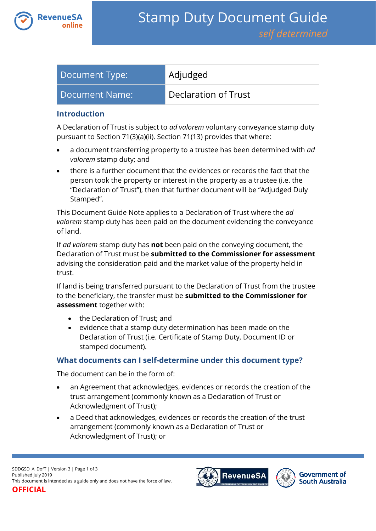

| Document Type: | Adjudged             |
|----------------|----------------------|
| Document Name: | Declaration of Trust |

#### **Introduction**

A Declaration of Trust is subject to *ad valorem* voluntary conveyance stamp duty pursuant to Section 71(3)(a)(ii). Section 71(13) provides that where:

- a document transferring property to a trustee has been determined with *ad valorem* stamp duty; and
- there is a further document that the evidences or records the fact that the person took the property or interest in the property as a trustee (i.e. the "Declaration of Trust"), then that further document will be "Adjudged Duly Stamped".

This Document Guide Note applies to a Declaration of Trust where the *ad valorem* stamp duty has been paid on the document evidencing the conveyance of land.

If *ad valorem* stamp duty has **not** been paid on the conveying document, the Declaration of Trust must be **submitted to the Commissioner for assessment** advising the consideration paid and the market value of the property held in trust.

If land is being transferred pursuant to the Declaration of Trust from the trustee to the beneficiary, the transfer must be **submitted to the Commissioner for assessment** together with:

- the Declaration of Trust; and
- evidence that a stamp duty determination has been made on the Declaration of Trust (i.e. Certificate of Stamp Duty, Document ID or stamped document).

### **What documents can I self-determine under this document type?**

The document can be in the form of:

- an Agreement that acknowledges, evidences or records the creation of the trust arrangement (commonly known as a Declaration of Trust or Acknowledgment of Trust);
- a Deed that acknowledges, evidences or records the creation of the trust arrangement (commonly known as a Declaration of Trust or Acknowledgment of Trust); or



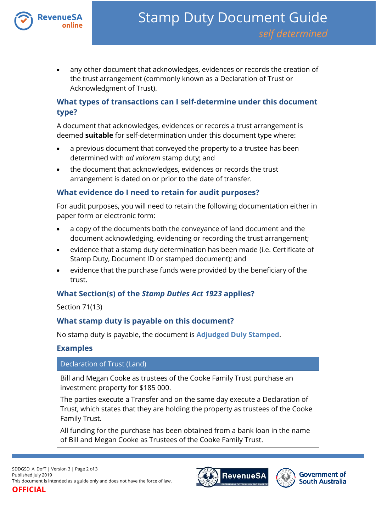

 any other document that acknowledges, evidences or records the creation of the trust arrangement (commonly known as a Declaration of Trust or Acknowledgment of Trust).

## **What types of transactions can I self-determine under this document type?**

A document that acknowledges, evidences or records a trust arrangement is deemed **suitable** for self-determination under this document type where:

- a previous document that conveyed the property to a trustee has been determined with *ad valorem* stamp duty; and
- the document that acknowledges, evidences or records the trust arrangement is dated on or prior to the date of transfer.

### **What evidence do I need to retain for audit purposes?**

For audit purposes, you will need to retain the following documentation either in paper form or electronic form:

- a copy of the documents both the conveyance of land document and the document acknowledging, evidencing or recording the trust arrangement;
- evidence that a stamp duty determination has been made (i.e. Certificate of Stamp Duty, Document ID or stamped document); and
- evidence that the purchase funds were provided by the beneficiary of the trust.

# **What Section(s) of the** *Stamp Duties Act 1923* **applies?**

Section 71(13)

### **What stamp duty is payable on this document?**

No stamp duty is payable, the document is **Adjudged Duly Stamped**.

### **Examples**

#### Declaration of Trust (Land)

Bill and Megan Cooke as trustees of the Cooke Family Trust purchase an investment property for \$185 000.

The parties execute a Transfer and on the same day execute a Declaration of Trust, which states that they are holding the property as trustees of the Cooke Family Trust.

All funding for the purchase has been obtained from a bank loan in the name of Bill and Megan Cooke as Trustees of the Cooke Family Trust.